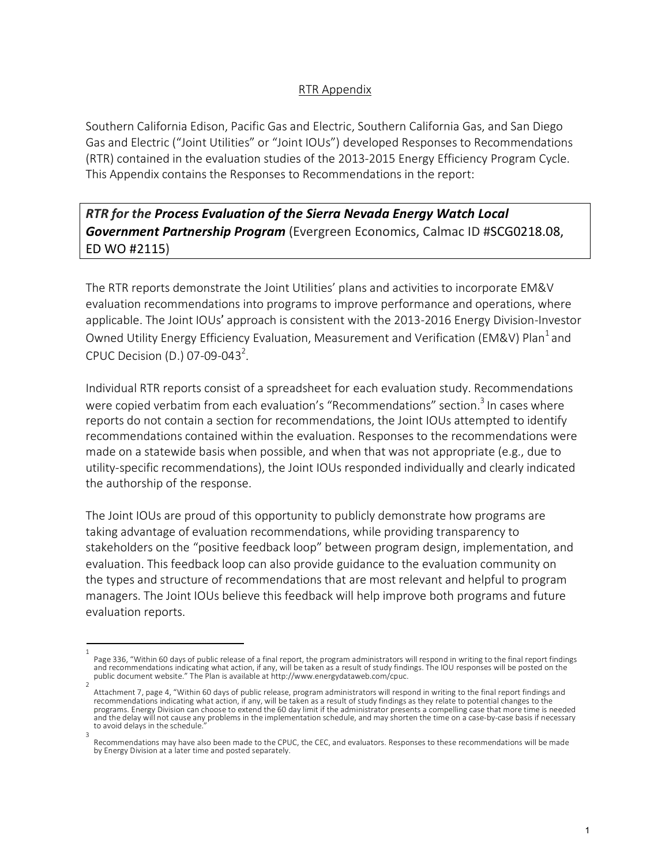## RTR Appendix

Southern California Edison, Pacific Gas and Electric, Southern California Gas, and San Diego Gas and Electric ("Joint Utilities" or "Joint IOUs") developed Responses to Recommendations (RTR) contained in the evaluation studies of the 2013-2015 Energy Efficiency Program Cycle. This Appendix contains the Responses to Recommendations in the report:

*RTR for the Process Evaluation of the Sierra Nevada Energy Watch Local Government Partnership Program* (Evergreen Economics, Calmac ID #SCG0218.08, ED WO #2115)

The RTR reports demonstrate the Joint Utilities' plans and activities to incorporate EM&V evaluation recommendations into programs to improve performance and operations, where applicable. The Joint IOUs' approach is consistent with the 2013-2016 Energy Division-Investor Owned Utility Energy Efficiency Evaluation, Measurement and Verification (EM&V) Plan<sup>1</sup> and CPUC Decision (D.) 07-09-043<sup>2</sup>.

Individual RTR reports consist of a spreadsheet for each evaluation study. Recommendations were copied verbatim from each evaluation's "Recommendations" section.<sup>3</sup> In cases where reports do not contain a section for recommendations, the Joint IOUs attempted to identify recommendations contained within the evaluation. Responses to the recommendations were made on a statewide basis when possible, and when that was not appropriate (e.g., due to utility-specific recommendations), the Joint IOUs responded individually and clearly indicated the authorship of the response.

The Joint IOUs are proud of this opportunity to publicly demonstrate how programs are taking advantage of evaluation recommendations, while providing transparency to stakeholders on the "positive feedback loop" between program design, implementation, and evaluation. This feedback loop can also provide guidance to the evaluation community on the types and structure of recommendations that are most relevant and helpful to program managers. The Joint IOUs believe this feedback will help improve both programs and future evaluation reports.

<sup>1</sup>  Page 336, "Within 60 days of public release of a final report, the program administrators will respond in writing to the final report findings and recommendations indicating what action, if any, will be taken as a result of study findings. The IOU responses will be posted on the<br>public document website." The Plan is available at http://www.energydataweb.com/cpuc.

Attachment 7, page 4, "Within 60 days of public release, program administrators will respond in writing to the final report findings and recommendations indicating what action, if any, will be taken as a result of study findings as they relate to potential changes to the programs. Energy Division can choose to extend the 60 day limit if the administrator presents a compelling case that more time is needed and the delay will not cause any problems in the implementation schedule, and may shorten the time on a case-by-case basis if necessary to avoid delays in the schedule.

<sup>3</sup>  Recommendations may have also been made to the CPUC, the CEC, and evaluators. Responses to these recommendations will be made by Energy Division at a later time and posted separately.